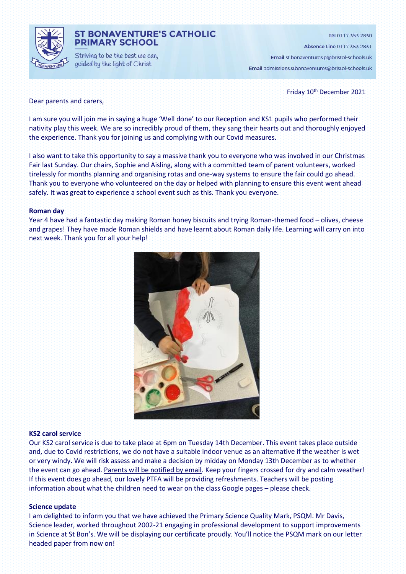

### **ST BONAVENTURE'S CATHOLIC PRIMARY SCHOOL**

Striving to be the best we can, guided by the light of Christ

Tel 0117 353 2830

Absence Line 0117 353 2831

Email st.bonaventures.p@bristol-schools.uk

Email admissions.stbonaventures@bristol-schools.uk

Friday 10<sup>th</sup> December 2021

### Dear parents and carers,

I am sure you will join me in saying a huge 'Well done' to our Reception and KS1 pupils who performed their nativity play this week. We are so incredibly proud of them, they sang their hearts out and thoroughly enjoyed the experience. Thank you for joining us and complying with our Covid measures.

I also want to take this opportunity to say a massive thank you to everyone who was involved in our Christmas Fair last Sunday. Our chairs, Sophie and Aisling, along with a committed team of parent volunteers, worked tirelessly for months planning and organising rotas and one-way systems to ensure the fair could go ahead. Thank you to everyone who volunteered on the day or helped with planning to ensure this event went ahead safely. It was great to experience a school event such as this. Thank you everyone.

### **Roman day**

Year 4 have had a fantastic day making Roman honey biscuits and trying Roman-themed food – olives, cheese and grapes! They have made Roman shields and have learnt about Roman daily life. Learning will carry on into next week. Thank you for all your help!



### **KS2 carol service**

Our KS2 carol service is due to take place at 6pm on Tuesday 14th December. This event takes place outside and, due to Covid restrictions, we do not have a suitable indoor venue as an alternative if the weather is wet or very windy. We will risk assess and make a decision by midday on Monday 13th December as to whether the event can go ahead. Parents will be notified by email. Keep your fingers crossed for dry and calm weather! If this event does go ahead, our lovely PTFA will be providing refreshments. Teachers will be posting information about what the children need to wear on the class Google pages – please check.

#### **Science update**

I am delighted to inform you that we have achieved the Primary Science Quality Mark, PSQM. Mr Davis, Science leader, worked throughout 2002-21 engaging in professional development to support improvements in Science at St Bon's. We will be displaying our certificate proudly. You'll notice the PSQM mark on our letter headed paper from now on!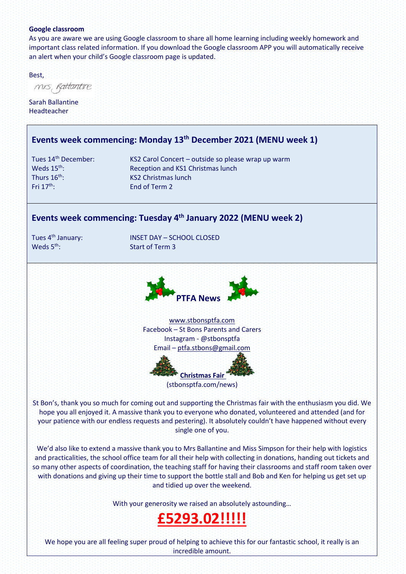### **Google classroom**

As you are aware we are using Google classroom to share all home learning including weekly homework and important class related information. If you download the Google classroom APP you will automatically receive an alert when your child's Google classroom page is updated.

Best,

mis, Rattantire

Sarah Ballantine **Headteacher** 

# **Events week commencing: Monday 13th December 2021 (MENU week 1)**

Fri 17th: End of Term 2

Tues 14th December: KS2 Carol Concert – outside so please wrap up warm Weds 15<sup>th</sup>: Reception and KS1 Christmas lunch Thurs 16<sup>th</sup>: KS2 Christmas lunch

# **Events week commencing: Tuesday 4 th January 2022 (MENU week 2)**

Weds  $5<sup>th</sup>$ :

Tues 4th January: INSET DAY – SCHOOL CLOSED Start of Term 3



[www.stbonsptfa.com](file:///C:/Users/sophi/Documents/Personal/PTFA/www.stbonsptfa.com) Facebook – St Bons Parents and Carers Instagram - @stbonsptfa Email – [ptfa.stbons@gmail.com](mailto:ptfa.stbons@gmail.com)



St Bon's, thank you so much for coming out and supporting the Christmas fair with the enthusiasm you did. We hope you all enjoyed it. A massive thank you to everyone who donated, volunteered and attended (and for your patience with our endless requests and pestering). It absolutely couldn't have happened without every single one of you.

We'd also like to extend a massive th[ank you](https://creativecommons.org/licenses/by-nc/3.0/) to Mrs Ballantine [and](https://creativecommons.org/licenses/by-nc/3.0/) Miss Simpson for their help with logistics and practicalities, the school office team for all their help with c[ollec](https://creativecommons.org/licenses/by-nc/3.0/)ting in donations, handing out tickets and so many other aspects of coordination, the teaching staff for having their classrooms and staff room taken over with donations and giving up their time to support the bottle stall and Bob and Ken for helping us get set up and tidied up over the weekend.

With your generosity we raised an absolutely astounding...

# **£5293.02!!!!!**

We hope you are all feeling super proud of helping to achieve this for our fantastic school, it really is an incredible amount.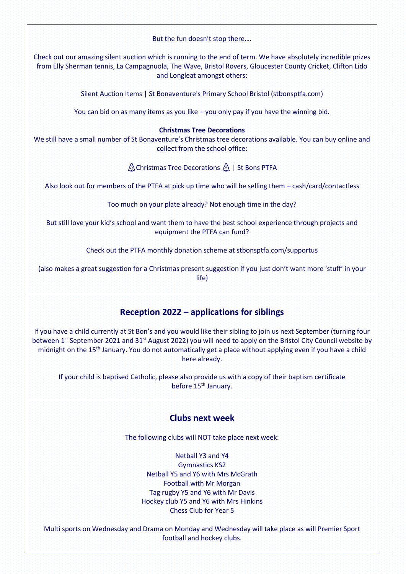But the fun doesn't stop there….

Check out our amazing silent auction which is running to the end of term. We have absolutely incredible prizes from Elly Sherman tennis, La Campagnuola, The Wave, Bristol Rovers, Gloucester County Cricket, Clifton Lido and Longleat amongst others:

Silent Auction Items | St Bonaventure's Primary School Bristol (stbonsptfa.com)

You can bid on as many items as you like – you only pay if you have the winning bid.

### **Christmas Tree Decorations**

We still have a small number of St Bonaventure's Christmas tree decorations available. You can buy online and collect from the school office:

Christmas Tree Decorations & | St Bons PTFA

Also look out for members of the PTFA at pick up time who will be selling them – cash/card/contactless

Too much on your plate already? Not enough time in the day?

But still love your kid's school and want them to have the best school experience through projects and equipment the PTFA can fund?

Check out the PTFA monthly donation scheme at stbonsptfa.com/supportus

(also makes a great suggestion for a Christmas present suggestion if you just don't want more 'stuff' in your life)

# **Reception 2022 – applications for siblings**

If you have a child currently at St Bon's and you would like their sibling to join us next September (turning four between 1<sup>st</sup> September 2021 and 31<sup>st</sup> August 2022) you will need to apply on the Bristol City Council website by midnight on the 15<sup>th</sup> January. You do not automatically get a place without applying even if you have a child here already.

If your child is baptised Catholic, please also provide us with a copy of their baptism certificate before 15<sup>th</sup> January.

# **Clubs next week**

The following clubs will NOT take place next week:

Netball Y3 and Y4 Gymnastics KS2 Netball Y5 and Y6 with Mrs McGrath Football with Mr Morgan Tag rugby Y5 and Y6 with Mr Davis Hockey club Y5 and Y6 with Mrs Hinkins Chess Club for Year 5

Multi sports on Wednesday and Drama on Monday and Wednesday will take place as will Premier Sport football and hockey clubs.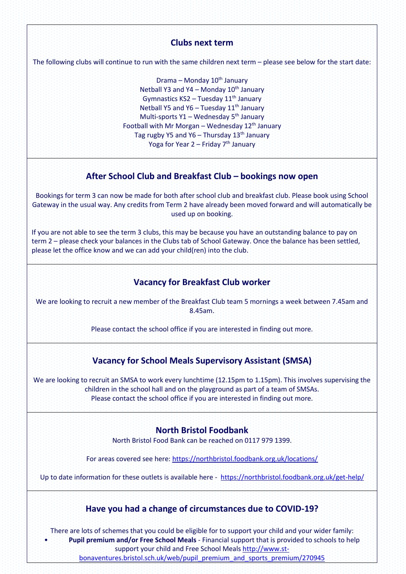# **Clubs next term**

The following clubs will continue to run with the same children next term – please see below for the start date:

Drama – Monday 10<sup>th</sup> January Netball Y3 and Y4 – Monday  $10^{th}$  January Gymnastics KS2 – Tuesday 11<sup>th</sup> January Netball Y5 and Y6 - Tuesday 11<sup>th</sup> January Multi-sports Y1 – Wednesday 5<sup>th</sup> January Football with Mr Morgan – Wednesday  $12<sup>th</sup>$  January Tag rugby Y5 and Y6 – Thursday  $13<sup>th</sup>$  January Yoga for Year  $2$  – Friday  $7<sup>th</sup>$  January

# **After School Club and Breakfast Club – bookings now open**

Bookings for term 3 can now be made for both after school club and breakfast club. Please book using School Gateway in the usual way. Any credits from Term 2 have already been moved forward and will automatically be used up on booking.

If you are not able to see the term 3 clubs, this may be because you have an outstanding balance to pay on term 2 – please check your balances in the Clubs tab of School Gateway. Once the balance has been settled, please let the office know and we can add your child(ren) into the club.

# **Vacancy for Breakfast Club worker**

We are looking to recruit a new member of the Breakfast Club team 5 mornings a week between 7.45am and 8.45am.

Please contact the school office if you are interested in finding out more.

# **Vacancy for School Meals Supervisory Assistant (SMSA)**

We are looking to recruit an SMSA to work every lunchtime (12.15pm to 1.15pm). This involves supervising the children in the school hall and on the playground as part of a team of SMSAs. Please contact the school office if you are interested in finding out more.

# **North Bristol Foodbank**

North Bristol Food Bank can be reached on 0117 979 1399.

For areas covered see here[: https://northbristol.foodbank.org.uk/locations/](https://northbristol.foodbank.org.uk/locations/)

Up to date information for these outlets is available here -<https://northbristol.foodbank.org.uk/get-help/>

# **Have you had a change of circumstances due to COVID-19?**

There are lots of schemes that you could be eligible for to support your child and your wider family: • **Pupil premium and/or Free School Meals** - Financial support that is provided to schools to help

support your child and Free School Meals [http://www.st-](http://www.st-bonaventures.bristol.sch.uk/web/pupil_premium_and_sports_premium/270945)

[bonaventures.bristol.sch.uk/web/pupil\\_premium\\_and\\_sports\\_premium/270945](http://www.st-bonaventures.bristol.sch.uk/web/pupil_premium_and_sports_premium/270945)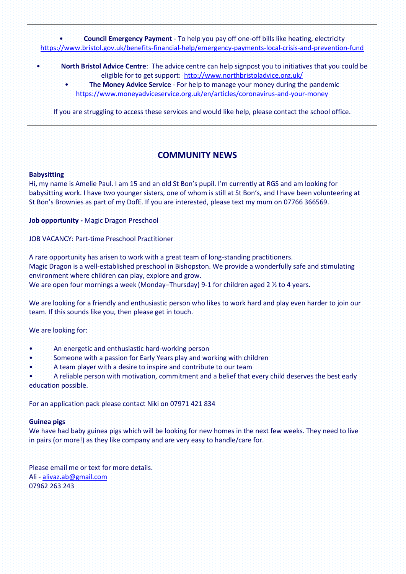• **Council Emergency Payment** - To help you pay off one-off bills like heating, electricity <https://www.bristol.gov.uk/benefits-financial-help/emergency-payments-local-crisis-and-prevention-fund>

- **North Bristol Advice Centre**: The advice centre can help signpost you to initiatives that you could be eligible for to get support: <http://www.northbristoladvice.org.uk/>
	- **The Money Advice Service** For help to manage your money during the pandemic <https://www.moneyadviceservice.org.uk/en/articles/coronavirus-and-your-money>

If you are struggling to access these services and would like help, please contact the school office.

# **COMMUNITY NEWS**

### **Babysitting**

Hi, my name is Amelie Paul. I am 15 and an old St Bon's pupil. I'm currently at RGS and am looking for babysitting work. I have two younger sisters, one of whom is still at St Bon's, and I have been volunteering at St Bon's Brownies as part of my DofE. If you are interested, please text my mum on 07766 366569.

**Job opportunity -** Magic Dragon Preschool

JOB VACANCY: Part-time Preschool Practitioner

A rare opportunity has arisen to work with a great team of long-standing practitioners. Magic Dragon is a well-established preschool in Bishopston. We provide a wonderfully safe and stimulating environment where children can play, explore and grow. We are open four mornings a week (Monday–Thursday) 9-1 for children aged 2  $\frac{1}{2}$  to 4 years.

We are looking for a friendly and enthusiastic person who likes to work hard and play even harder to join our team. If this sounds like you, then please get in touch.

We are looking for:

- An energetic and enthusiastic hard-working person
- Someone with a passion for Early Years play and working with children
- A team player with a desire to inspire and contribute to our team

• A reliable person with motivation, commitment and a belief that every child deserves the best early education possible.

For an application pack please contact Niki on 07971 421 834

#### **Guinea pigs**

We have had baby guinea pigs which will be looking for new homes in the next few weeks. They need to live in pairs (or more!) as they like company and are very easy to handle/care for.

Please email me or text for more details. Ali - [alivaz.ab@gmail.com](mailto:alivaz.ab@gmail.com) 07962 263 243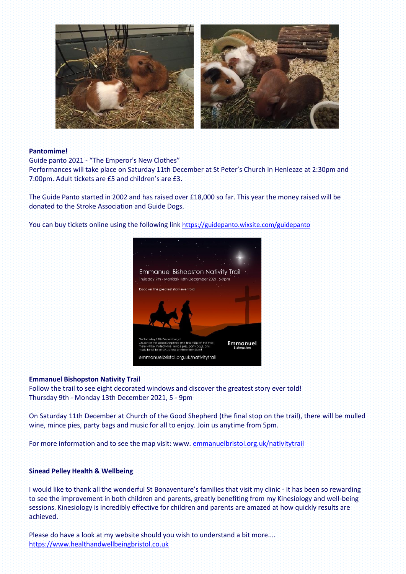

### **Pantomime!**

Guide panto 2021 - "The Emperor's New Clothes"

Performances will take place on Saturday 11th December at St Peter's Church in Henleaze at 2:30pm and 7:00pm. Adult tickets are £5 and children's are £3.

The Guide Panto started in 2002 and has raised over £18,000 so far. This year the money raised will be donated to the Stroke Association and Guide Dogs.

You can buy tickets online using the following link <https://guidepanto.wixsite.com/guidepanto>



### **Emmanuel Bishopston Nativity Trail**

Follow the trail to see eight decorated windows and discover the greatest story ever told! Thursday 9th - Monday 13th December 2021, 5 - 9pm

On Saturday 11th December at Church of the Good Shepherd (the final stop on the trail), there will be mulled wine, mince pies, party bags and music for all to enjoy. Join us anytime from 5pm.

For more information and to see the map visit: www. [emmanuelbristol.org.uk/nativitytrail](http://emmanuelbristol.org.uk/nativitytrail)

### **Sinead Pelley Health & Wellbeing**

I would like to thank all the wonderful St Bonaventure's families that visit my clinic - it has been so rewarding to see the improvement in both children and parents, greatly benefiting from my Kinesiology and well-being sessions. Kinesiology is incredibly effective for children and parents are amazed at how quickly results are achieved.

Please do have a look at my website should you wish to understand a bit more.... [https://www.healthandwellbeingbristol.co.uk](https://www.healthandwellbeingbristol.co.uk/)